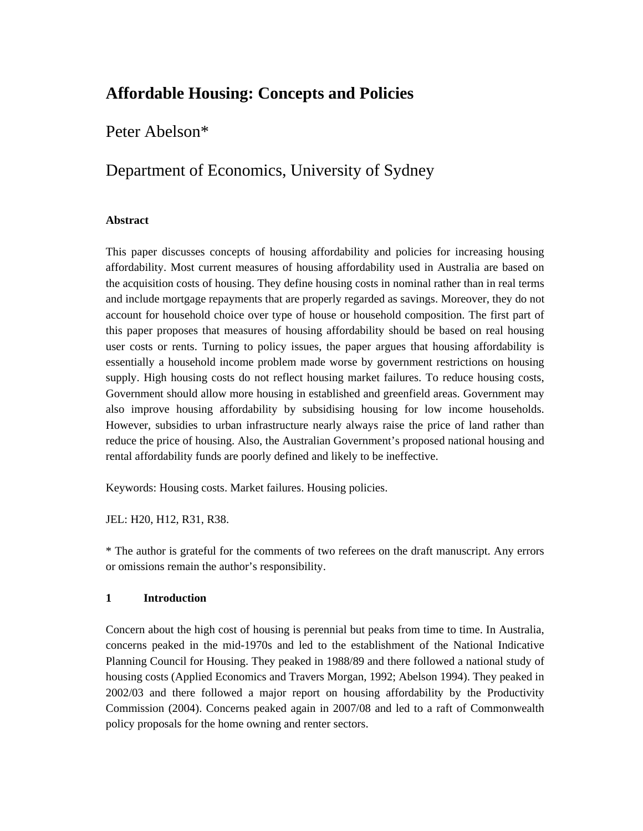# **Affordable Housing: Concepts and Policies**

Peter Abelson\*

## Department of Economics, University of Sydney

#### **Abstract**

This paper discusses concepts of housing affordability and policies for increasing housing affordability. Most current measures of housing affordability used in Australia are based on the acquisition costs of housing. They define housing costs in nominal rather than in real terms and include mortgage repayments that are properly regarded as savings. Moreover, they do not account for household choice over type of house or household composition. The first part of this paper proposes that measures of housing affordability should be based on real housing user costs or rents. Turning to policy issues, the paper argues that housing affordability is essentially a household income problem made worse by government restrictions on housing supply. High housing costs do not reflect housing market failures. To reduce housing costs, Government should allow more housing in established and greenfield areas. Government may also improve housing affordability by subsidising housing for low income households. However, subsidies to urban infrastructure nearly always raise the price of land rather than reduce the price of housing. Also, the Australian Government's proposed national housing and rental affordability funds are poorly defined and likely to be ineffective.

Keywords: Housing costs. Market failures. Housing policies.

JEL: H20, H12, R31, R38.

\* The author is grateful for the comments of two referees on the draft manuscript. Any errors or omissions remain the author's responsibility.

#### **1 Introduction**

Concern about the high cost of housing is perennial but peaks from time to time. In Australia, concerns peaked in the mid-1970s and led to the establishment of the National Indicative Planning Council for Housing. They peaked in 1988/89 and there followed a national study of housing costs (Applied Economics and Travers Morgan, 1992; Abelson 1994). They peaked in 2002/03 and there followed a major report on housing affordability by the Productivity Commission (2004). Concerns peaked again in 2007/08 and led to a raft of Commonwealth policy proposals for the home owning and renter sectors.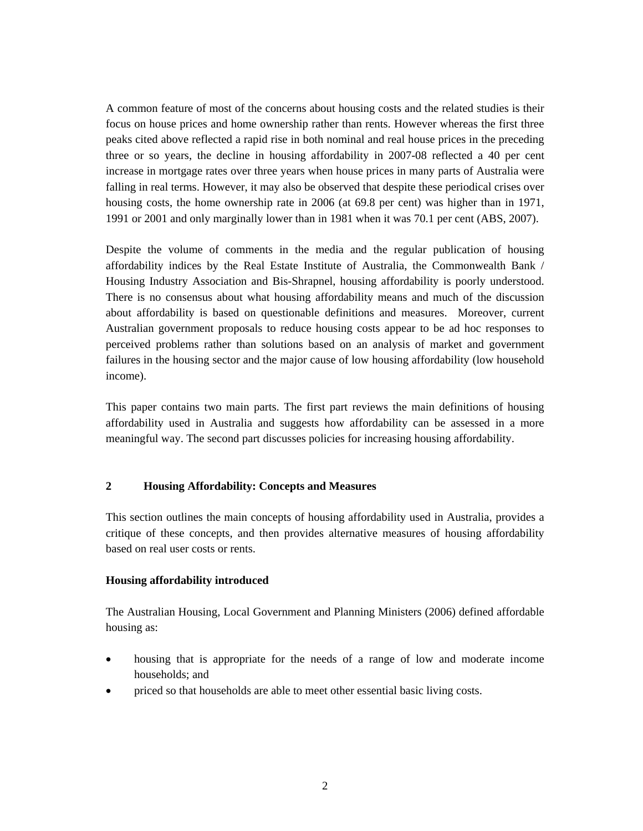A common feature of most of the concerns about housing costs and the related studies is their focus on house prices and home ownership rather than rents. However whereas the first three peaks cited above reflected a rapid rise in both nominal and real house prices in the preceding three or so years, the decline in housing affordability in 2007-08 reflected a 40 per cent increase in mortgage rates over three years when house prices in many parts of Australia were falling in real terms. However, it may also be observed that despite these periodical crises over housing costs, the home ownership rate in 2006 (at 69.8 per cent) was higher than in 1971, 1991 or 2001 and only marginally lower than in 1981 when it was 70.1 per cent (ABS, 2007).

Despite the volume of comments in the media and the regular publication of housing affordability indices by the Real Estate Institute of Australia, the Commonwealth Bank / Housing Industry Association and Bis-Shrapnel, housing affordability is poorly understood. There is no consensus about what housing affordability means and much of the discussion about affordability is based on questionable definitions and measures. Moreover, current Australian government proposals to reduce housing costs appear to be ad hoc responses to perceived problems rather than solutions based on an analysis of market and government failures in the housing sector and the major cause of low housing affordability (low household income).

This paper contains two main parts. The first part reviews the main definitions of housing affordability used in Australia and suggests how affordability can be assessed in a more meaningful way. The second part discusses policies for increasing housing affordability.

#### **2 Housing Affordability: Concepts and Measures**

This section outlines the main concepts of housing affordability used in Australia, provides a critique of these concepts, and then provides alternative measures of housing affordability based on real user costs or rents.

#### **Housing affordability introduced**

The Australian Housing, Local Government and Planning Ministers (2006) defined affordable housing as:

- housing that is appropriate for the needs of a range of low and moderate income households; and
- priced so that households are able to meet other essential basic living costs.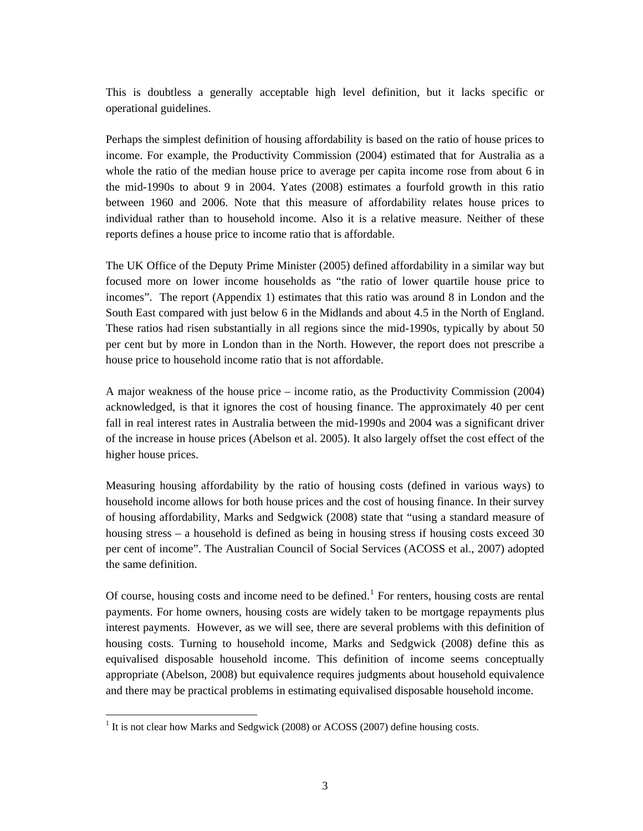This is doubtless a generally acceptable high level definition, but it lacks specific or operational guidelines.

Perhaps the simplest definition of housing affordability is based on the ratio of house prices to income. For example, the Productivity Commission (2004) estimated that for Australia as a whole the ratio of the median house price to average per capita income rose from about 6 in the mid-1990s to about 9 in 2004. Yates (2008) estimates a fourfold growth in this ratio between 1960 and 2006. Note that this measure of affordability relates house prices to individual rather than to household income. Also it is a relative measure. Neither of these reports defines a house price to income ratio that is affordable.

The UK Office of the Deputy Prime Minister (2005) defined affordability in a similar way but focused more on lower income households as "the ratio of lower quartile house price to incomes". The report (Appendix 1) estimates that this ratio was around 8 in London and the South East compared with just below 6 in the Midlands and about 4.5 in the North of England. These ratios had risen substantially in all regions since the mid-1990s, typically by about 50 per cent but by more in London than in the North. However, the report does not prescribe a house price to household income ratio that is not affordable.

A major weakness of the house price – income ratio, as the Productivity Commission (2004) acknowledged, is that it ignores the cost of housing finance. The approximately 40 per cent fall in real interest rates in Australia between the mid-1990s and 2004 was a significant driver of the increase in house prices (Abelson et al. 2005). It also largely offset the cost effect of the higher house prices.

Measuring housing affordability by the ratio of housing costs (defined in various ways) to household income allows for both house prices and the cost of housing finance. In their survey of housing affordability, Marks and Sedgwick (2008) state that "using a standard measure of housing stress – a household is defined as being in housing stress if housing costs exceed 30 per cent of income". The Australian Council of Social Services (ACOSS et al., 2007) adopted the same definition.

Of course, housing costs and income need to be defined.<sup>[1](#page-2-0)</sup> For renters, housing costs are rental payments. For home owners, housing costs are widely taken to be mortgage repayments plus interest payments. However, as we will see, there are several problems with this definition of housing costs. Turning to household income, Marks and Sedgwick (2008) define this as equivalised disposable household income. This definition of income seems conceptually appropriate (Abelson, 2008) but equivalence requires judgments about household equivalence and there may be practical problems in estimating equivalised disposable household income.

 $\overline{a}$ 

<span id="page-2-0"></span> $<sup>1</sup>$  It is not clear how Marks and Sedgwick (2008) or ACOSS (2007) define housing costs.</sup>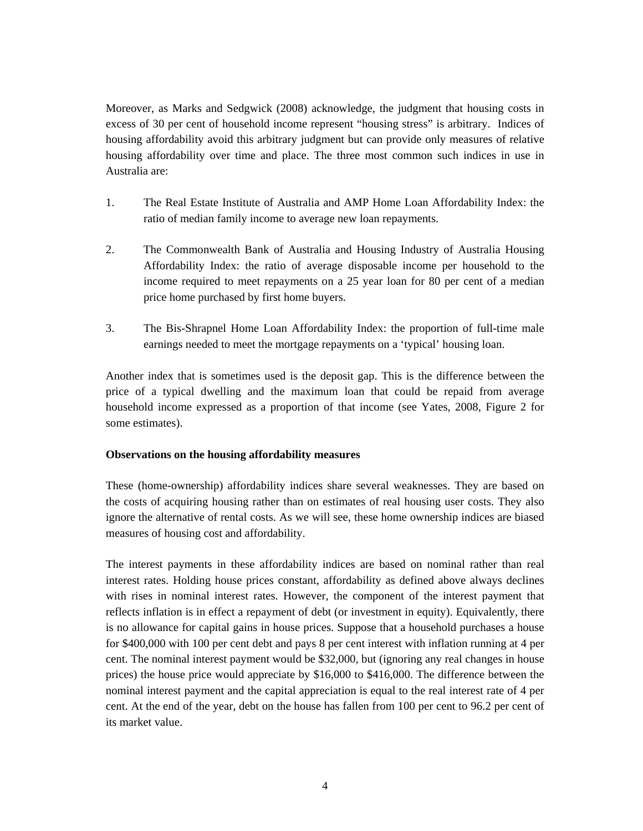Moreover, as Marks and Sedgwick (2008) acknowledge, the judgment that housing costs in excess of 30 per cent of household income represent "housing stress" is arbitrary. Indices of housing affordability avoid this arbitrary judgment but can provide only measures of relative housing affordability over time and place. The three most common such indices in use in Australia are:

- 1. The Real Estate Institute of Australia and AMP Home Loan Affordability Index: the ratio of median family income to average new loan repayments.
- 2. The Commonwealth Bank of Australia and Housing Industry of Australia Housing Affordability Index: the ratio of average disposable income per household to the income required to meet repayments on a 25 year loan for 80 per cent of a median price home purchased by first home buyers.
- 3. The Bis-Shrapnel Home Loan Affordability Index: the proportion of full-time male earnings needed to meet the mortgage repayments on a 'typical' housing loan.

Another index that is sometimes used is the deposit gap. This is the difference between the price of a typical dwelling and the maximum loan that could be repaid from average household income expressed as a proportion of that income (see Yates, 2008, Figure 2 for some estimates).

#### **Observations on the housing affordability measures**

These (home-ownership) affordability indices share several weaknesses. They are based on the costs of acquiring housing rather than on estimates of real housing user costs. They also ignore the alternative of rental costs. As we will see, these home ownership indices are biased measures of housing cost and affordability.

The interest payments in these affordability indices are based on nominal rather than real interest rates. Holding house prices constant, affordability as defined above always declines with rises in nominal interest rates. However, the component of the interest payment that reflects inflation is in effect a repayment of debt (or investment in equity). Equivalently, there is no allowance for capital gains in house prices. Suppose that a household purchases a house for \$400,000 with 100 per cent debt and pays 8 per cent interest with inflation running at 4 per cent. The nominal interest payment would be \$32,000, but (ignoring any real changes in house prices) the house price would appreciate by \$16,000 to \$416,000. The difference between the nominal interest payment and the capital appreciation is equal to the real interest rate of 4 per cent. At the end of the year, debt on the house has fallen from 100 per cent to 96.2 per cent of its market value.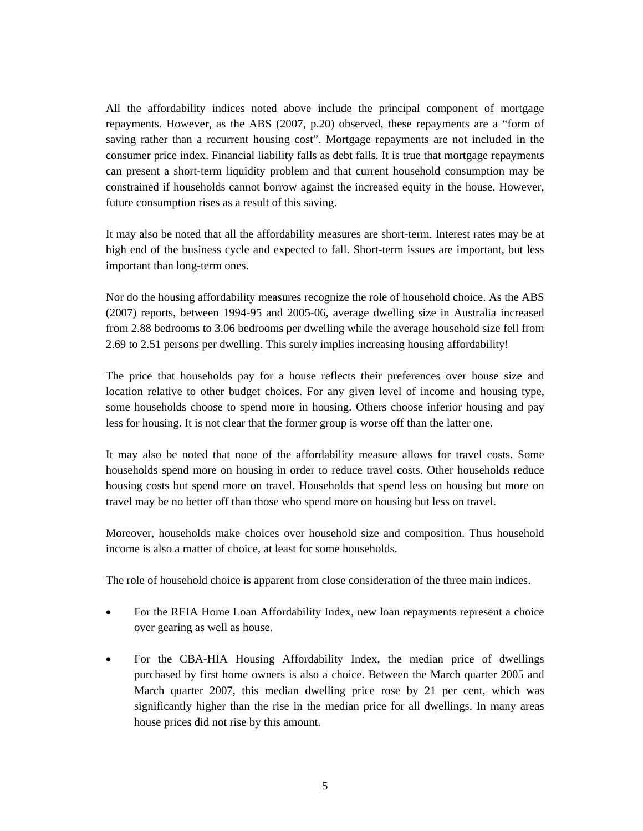All the affordability indices noted above include the principal component of mortgage repayments. However, as the ABS (2007, p.20) observed, these repayments are a "form of saving rather than a recurrent housing cost". Mortgage repayments are not included in the consumer price index. Financial liability falls as debt falls. It is true that mortgage repayments can present a short-term liquidity problem and that current household consumption may be constrained if households cannot borrow against the increased equity in the house. However, future consumption rises as a result of this saving.

It may also be noted that all the affordability measures are short-term. Interest rates may be at high end of the business cycle and expected to fall. Short-term issues are important, but less important than long-term ones.

Nor do the housing affordability measures recognize the role of household choice. As the ABS (2007) reports, between 1994-95 and 2005-06, average dwelling size in Australia increased from 2.88 bedrooms to 3.06 bedrooms per dwelling while the average household size fell from 2.69 to 2.51 persons per dwelling. This surely implies increasing housing affordability!

The price that households pay for a house reflects their preferences over house size and location relative to other budget choices. For any given level of income and housing type, some households choose to spend more in housing. Others choose inferior housing and pay less for housing. It is not clear that the former group is worse off than the latter one.

It may also be noted that none of the affordability measure allows for travel costs. Some households spend more on housing in order to reduce travel costs. Other households reduce housing costs but spend more on travel. Households that spend less on housing but more on travel may be no better off than those who spend more on housing but less on travel.

Moreover, households make choices over household size and composition. Thus household income is also a matter of choice, at least for some households.

The role of household choice is apparent from close consideration of the three main indices.

- For the REIA Home Loan Affordability Index, new loan repayments represent a choice over gearing as well as house.
- For the CBA-HIA Housing Affordability Index, the median price of dwellings purchased by first home owners is also a choice. Between the March quarter 2005 and March quarter 2007, this median dwelling price rose by 21 per cent, which was significantly higher than the rise in the median price for all dwellings. In many areas house prices did not rise by this amount.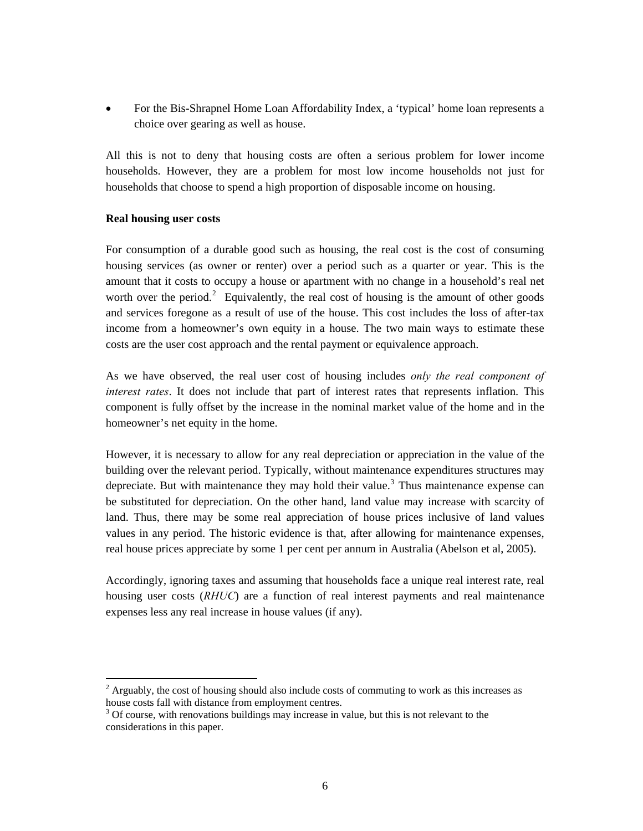For the Bis-Shrapnel Home Loan Affordability Index, a 'typical' home loan represents a choice over gearing as well as house.

All this is not to deny that housing costs are often a serious problem for lower income households. However, they are a problem for most low income households not just for households that choose to spend a high proportion of disposable income on housing.

#### **Real housing user costs**

 $\overline{a}$ 

For consumption of a durable good such as housing, the real cost is the cost of consuming housing services (as owner or renter) over a period such as a quarter or year. This is the amount that it costs to occupy a house or apartment with no change in a household's real net worth over the period.<sup>[2](#page-5-0)</sup> Equivalently, the real cost of housing is the amount of other goods and services foregone as a result of use of the house. This cost includes the loss of after-tax income from a homeowner's own equity in a house. The two main ways to estimate these costs are the user cost approach and the rental payment or equivalence approach.

As we have observed, the real user cost of housing includes *only the real component of interest rates*. It does not include that part of interest rates that represents inflation. This component is fully offset by the increase in the nominal market value of the home and in the homeowner's net equity in the home.

However, it is necessary to allow for any real depreciation or appreciation in the value of the building over the relevant period. Typically, without maintenance expenditures structures may depreciate. But with maintenance they may hold their value.<sup>[3](#page-5-1)</sup> Thus maintenance expense can be substituted for depreciation. On the other hand, land value may increase with scarcity of land. Thus, there may be some real appreciation of house prices inclusive of land values values in any period. The historic evidence is that, after allowing for maintenance expenses, real house prices appreciate by some 1 per cent per annum in Australia (Abelson et al, 2005).

Accordingly, ignoring taxes and assuming that households face a unique real interest rate, real housing user costs (*RHUC*) are a function of real interest payments and real maintenance expenses less any real increase in house values (if any).

<span id="page-5-0"></span> $2$  Arguably, the cost of housing should also include costs of commuting to work as this increases as house costs fall with distance from employment centres.

<span id="page-5-1"></span> $3$  Of course, with renovations buildings may increase in value, but this is not relevant to the considerations in this paper.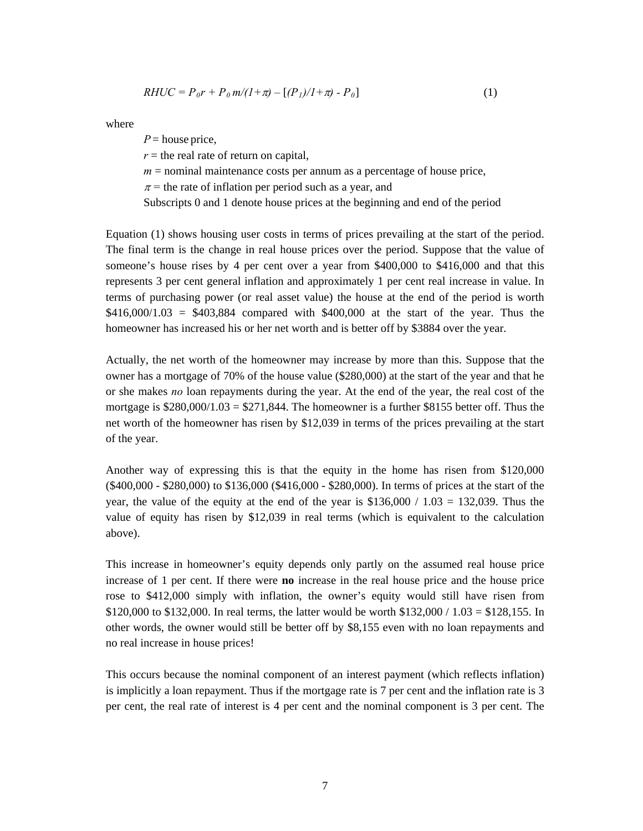$$
RHUC = P_0r + P_0 m/(I + \pi) - [(P_I)/I + \pi) - P_0]
$$
\n(1)

where

 $P =$  house price,  $r =$  the real rate of return on capital,  $m =$  nominal maintenance costs per annum as a percentage of house price,  $\pi$  = the rate of inflation per period such as a year, and Subscripts 0 and 1 denote house prices at the beginning and end of the period

Equation (1) shows housing user costs in terms of prices prevailing at the start of the period. The final term is the change in real house prices over the period. Suppose that the value of someone's house rises by 4 per cent over a year from \$400,000 to \$416,000 and that this represents 3 per cent general inflation and approximately 1 per cent real increase in value. In terms of purchasing power (or real asset value) the house at the end of the period is worth  $$416,000/1.03 = $403,884$  compared with \$400,000 at the start of the year. Thus the homeowner has increased his or her net worth and is better off by \$3884 over the year.

Actually, the net worth of the homeowner may increase by more than this. Suppose that the owner has a mortgage of 70% of the house value (\$280,000) at the start of the year and that he or she makes *no* loan repayments during the year. At the end of the year, the real cost of the mortgage is  $$280,000/1.03 = $271,844$ . The homeowner is a further \$8155 better off. Thus the net worth of the homeowner has risen by \$12,039 in terms of the prices prevailing at the start of the year.

Another way of expressing this is that the equity in the home has risen from \$120,000 (\$400,000 - \$280,000) to \$136,000 (\$416,000 - \$280,000). In terms of prices at the start of the year, the value of the equity at the end of the year is  $$136,000 / 1.03 = 132,039$ . Thus the value of equity has risen by \$12,039 in real terms (which is equivalent to the calculation above).

This increase in homeowner's equity depends only partly on the assumed real house price increase of 1 per cent. If there were **no** increase in the real house price and the house price rose to \$412,000 simply with inflation, the owner's equity would still have risen from \$120,000 to \$132,000. In real terms, the latter would be worth \$132,000 / 1.03 = \$128,155. In other words, the owner would still be better off by \$8,155 even with no loan repayments and no real increase in house prices!

This occurs because the nominal component of an interest payment (which reflects inflation) is implicitly a loan repayment. Thus if the mortgage rate is 7 per cent and the inflation rate is 3 per cent, the real rate of interest is 4 per cent and the nominal component is 3 per cent. The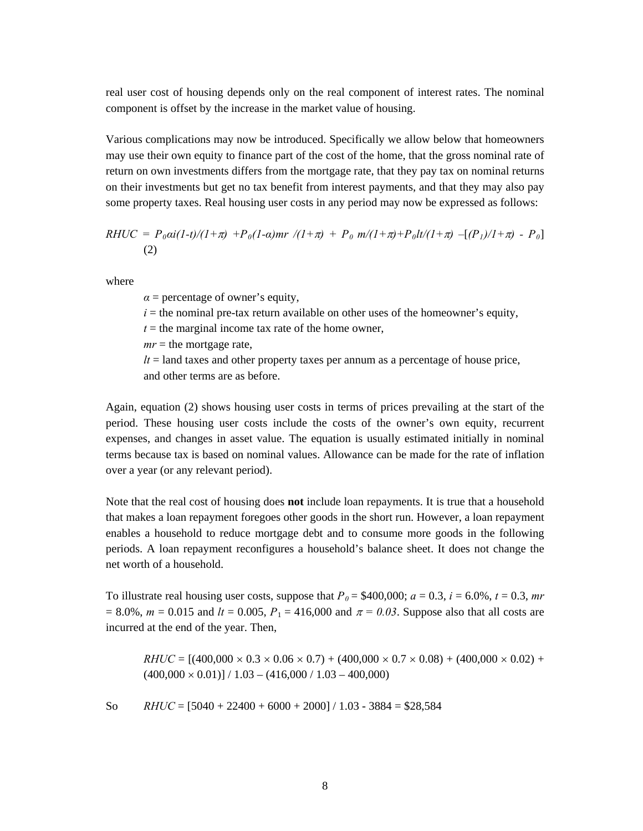real user cost of housing depends only on the real component of interest rates. The nominal component is offset by the increase in the market value of housing.

Various complications may now be introduced. Specifically we allow below that homeowners may use their own equity to finance part of the cost of the home, that the gross nominal rate of return on own investments differs from the mortgage rate, that they pay tax on nominal returns on their investments but get no tax benefit from interest payments, and that they may also pay some property taxes. Real housing user costs in any period may now be expressed as follows:

$$
RHUC = P_0 \alpha i (1-t)/(1+\pi) + P_0(1-\alpha) mr / (1+\pi) + P_0 m/(1+\pi) + P_0 l t/(1+\pi) - [(P_1)/1+\pi) - P_0]
$$
\n(2)

where

 $\alpha$  = percentage of owner's equity,

 $i =$  the nominal pre-tax return available on other uses of the homeowner's equity,

 $t =$  the marginal income tax rate of the home owner,

 $mr =$  the mortgage rate,

 $lt =$  land taxes and other property taxes per annum as a percentage of house price, and other terms are as before.

terms because tax is based on nominal values. Allowance can be made for the rate of inflation over a year (or any relevant period). Again, equation (2) shows housing user costs in terms of prices prevailing at the start of the period. These housing user costs include the costs of the owner's own equity, recurrent expenses, and changes in asset value. The equation is usually estimated initially in nominal

periods. A loan repayment reconfigures a household's balance sheet. It does not change the net worth of a household. Note that the real cost of housing does **not** include loan repayments. It is true that a household that makes a loan repayment foregoes other goods in the short run. However, a loan repayment enables a household to reduce mortgage debt and to consume more goods in the following

 $= 8.0\%$ ,  $m = 0.015$  and  $lt = 0.005$ ,  $P_1 = 416,000$  and  $\pi = 0.03$ . Suppose also that all costs are incurred at the end of the year. Then, To illustrate real housing user costs, suppose that  $P_0 = $400,000$ ;  $a = 0.3$ ,  $i = 6.0\%$ ,  $t = 0.3$ , *mr* 

 $RHUC = [(400,000 \times 0.3 \times 0.06 \times 0.7) + (400,000 \times 0.7 \times 0.08) + (400,000 \times 0.02) +$  $(400,000 \times 0.01)] / 1.03 - (416,000 / 1.03 - 400,000)$ 

 $RHUC = [5040 + 22400 + 6000 + 2000] / 1.03 - 3884 = $28,584$ So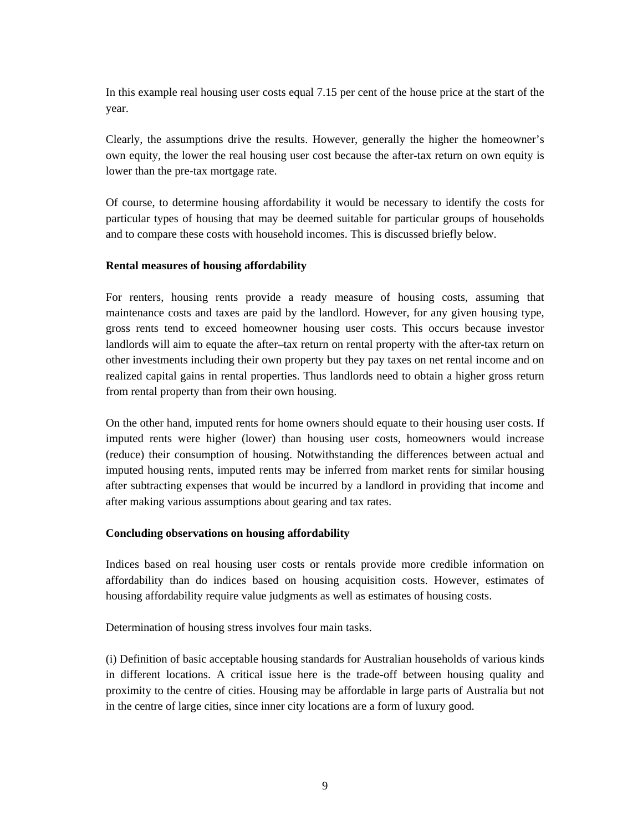In this example real housing user costs equal 7.15 per cent of the house price at the start of the year.

Clearly, the assumptions drive the results. However, generally the higher the homeowner's own equity, the lower the real housing user cost because the after-tax return on own equity is lower than the pre-tax mortgage rate.

Of course, to determine housing affordability it would be necessary to identify the costs for particular types of housing that may be deemed suitable for particular groups of households and to compare these costs with household incomes. This is discussed briefly below.

#### **Rental measures of housing affordability**

For renters, housing rents provide a ready measure of housing costs, assuming that maintenance costs and taxes are paid by the landlord. However, for any given housing type, gross rents tend to exceed homeowner housing user costs. This occurs because investor landlords will aim to equate the after–tax return on rental property with the after-tax return on other investments including their own property but they pay taxes on net rental income and on realized capital gains in rental properties. Thus landlords need to obtain a higher gross return from rental property than from their own housing.

On the other hand, imputed rents for home owners should equate to their housing user costs. If imputed rents were higher (lower) than housing user costs, homeowners would increase (reduce) their consumption of housing. Notwithstanding the differences between actual and imputed housing rents, imputed rents may be inferred from market rents for similar housing after subtracting expenses that would be incurred by a landlord in providing that income and after making various assumptions about gearing and tax rates.

#### **Concluding observations on housing affordability**

Indices based on real housing user costs or rentals provide more credible information on affordability than do indices based on housing acquisition costs. However, estimates of housing affordability require value judgments as well as estimates of housing costs.

Determination of housing stress involves four main tasks.

(i) Definition of basic acceptable housing standards for Australian households of various kinds in different locations. A critical issue here is the trade-off between housing quality and proximity to the centre of cities. Housing may be affordable in large parts of Australia but not in the centre of large cities, since inner city locations are a form of luxury good.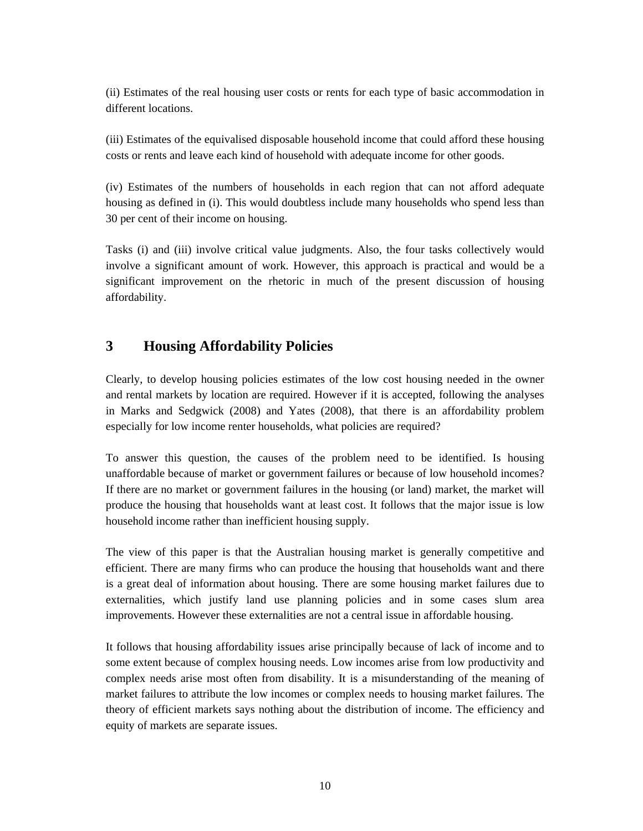(ii) Estimates of the real housing user costs or rents for each type of basic accommodation in different locations.

(iii) Estimates of the equivalised disposable household income that could afford these housing costs or rents and leave each kind of household with adequate income for other goods.

(iv) Estimates of the numbers of households in each region that can not afford adequate housing as defined in (i). This would doubtless include many households who spend less than 30 per cent of their income on housing.

Tasks (i) and (iii) involve critical value judgments. Also, the four tasks collectively would involve a significant amount of work. However, this approach is practical and would be a significant improvement on the rhetoric in much of the present discussion of housing affordability.

## **3 Housing Affordability Policies**

Clearly, to develop housing policies estimates of the low cost housing needed in the owner and rental markets by location are required. However if it is accepted, following the analyses in Marks and Sedgwick (2008) and Yates (2008), that there is an affordability problem especially for low income renter households, what policies are required?

To answer this question, the causes of the problem need to be identified. Is housing unaffordable because of market or government failures or because of low household incomes? If there are no market or government failures in the housing (or land) market, the market will produce the housing that households want at least cost. It follows that the major issue is low household income rather than inefficient housing supply.

The view of this paper is that the Australian housing market is generally competitive and efficient. There are many firms who can produce the housing that households want and there is a great deal of information about housing. There are some housing market failures due to externalities, which justify land use planning policies and in some cases slum area improvements. However these externalities are not a central issue in affordable housing.

It follows that housing affordability issues arise principally because of lack of income and to some extent because of complex housing needs. Low incomes arise from low productivity and complex needs arise most often from disability. It is a misunderstanding of the meaning of market failures to attribute the low incomes or complex needs to housing market failures. The theory of efficient markets says nothing about the distribution of income. The efficiency and equity of markets are separate issues.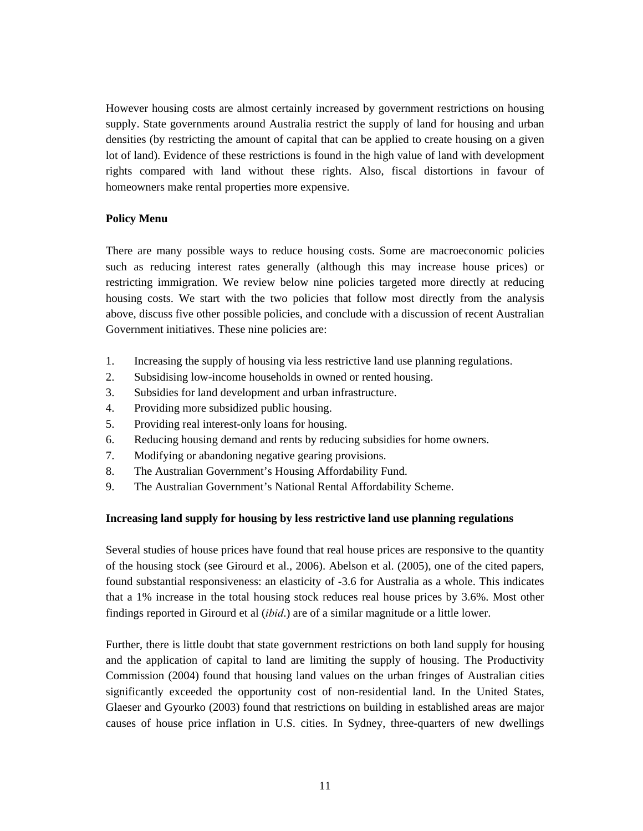However housing costs are almost certainly increased by government restrictions on housing supply. State governments around Australia restrict the supply of land for housing and urban densities (by restricting the amount of capital that can be applied to create housing on a given lot of land). Evidence of these restrictions is found in the high value of land with development rights compared with land without these rights. Also, fiscal distortions in favour of homeowners make rental properties more expensive.

#### **Policy Menu**

There are many possible ways to reduce housing costs. Some are macroeconomic policies such as reducing interest rates generally (although this may increase house prices) or restricting immigration. We review below nine policies targeted more directly at reducing housing costs. We start with the two policies that follow most directly from the analysis above, discuss five other possible policies, and conclude with a discussion of recent Australian Government initiatives. These nine policies are:

- 1. Increasing the supply of housing via less restrictive land use planning regulations.
- 2. Subsidising low-income households in owned or rented housing.
- 3. Subsidies for land development and urban infrastructure.
- 4. Providing more subsidized public housing.
- 5. Providing real interest-only loans for housing.
- 6. Reducing housing demand and rents by reducing subsidies for home owners.
- 7. Modifying or abandoning negative gearing provisions.
- 8. The Australian Government's Housing Affordability Fund.
- 9. The Australian Government's National Rental Affordability Scheme.

#### **Increasing land supply for housing by less restrictive land use planning regulations**

Several studies of house prices have found that real house prices are responsive to the quantity of the housing stock (see Girourd et al., 2006). Abelson et al. (2005), one of the cited papers, found substantial responsiveness: an elasticity of -3.6 for Australia as a whole. This indicates that a 1% increase in the total housing stock reduces real house prices by 3.6%. Most other findings reported in Girourd et al (*ibid*.) are of a similar magnitude or a little lower.

Further, there is little doubt that state government restrictions on both land supply for housing and the application of capital to land are limiting the supply of housing. The Productivity Commission (2004) found that housing land values on the urban fringes of Australian cities significantly exceeded the opportunity cost of non-residential land. In the United States, Glaeser and Gyourko (2003) found that restrictions on building in established areas are major causes of house price inflation in U.S. cities. In Sydney, three-quarters of new dwellings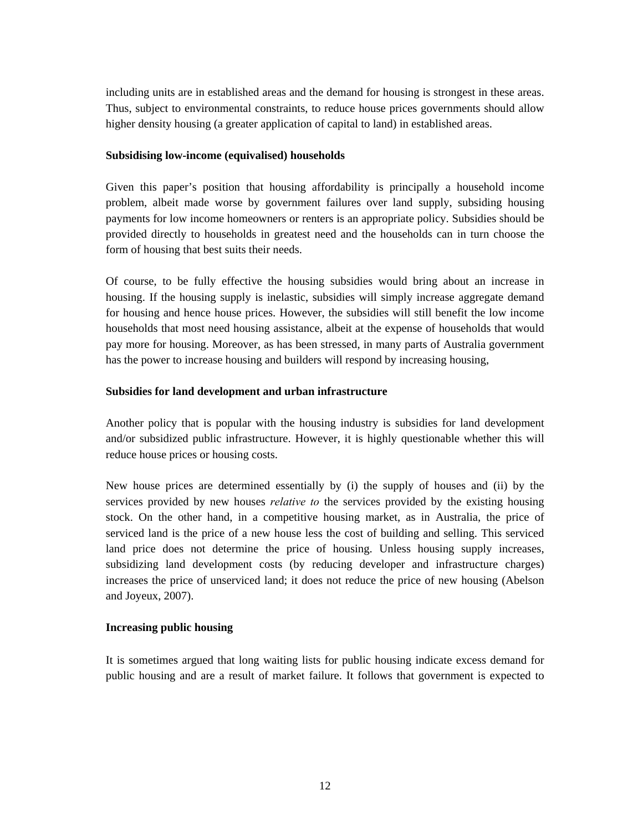including units are in established areas and the demand for housing is strongest in these areas. Thus, subject to environmental constraints, to reduce house prices governments should allow higher density housing (a greater application of capital to land) in established areas.

#### **Subsidising low-income (equivalised) households**

Given this paper's position that housing affordability is principally a household income problem, albeit made worse by government failures over land supply, subsiding housing payments for low income homeowners or renters is an appropriate policy. Subsidies should be provided directly to households in greatest need and the households can in turn choose the form of housing that best suits their needs.

Of course, to be fully effective the housing subsidies would bring about an increase in housing. If the housing supply is inelastic, subsidies will simply increase aggregate demand for housing and hence house prices. However, the subsidies will still benefit the low income households that most need housing assistance, albeit at the expense of households that would pay more for housing. Moreover, as has been stressed, in many parts of Australia government has the power to increase housing and builders will respond by increasing housing,

#### **Subsidies for land development and urban infrastructure**

Another policy that is popular with the housing industry is subsidies for land development and/or subsidized public infrastructure. However, it is highly questionable whether this will reduce house prices or housing costs.

New house prices are determined essentially by (i) the supply of houses and (ii) by the services provided by new houses *relative to* the services provided by the existing housing stock. On the other hand, in a competitive housing market, as in Australia, the price of serviced land is the price of a new house less the cost of building and selling. This serviced land price does not determine the price of housing. Unless housing supply increases, subsidizing land development costs (by reducing developer and infrastructure charges) increases the price of unserviced land; it does not reduce the price of new housing (Abelson and Joyeux, 2007).

#### **Increasing public housing**

It is sometimes argued that long waiting lists for public housing indicate excess demand for public housing and are a result of market failure. It follows that government is expected to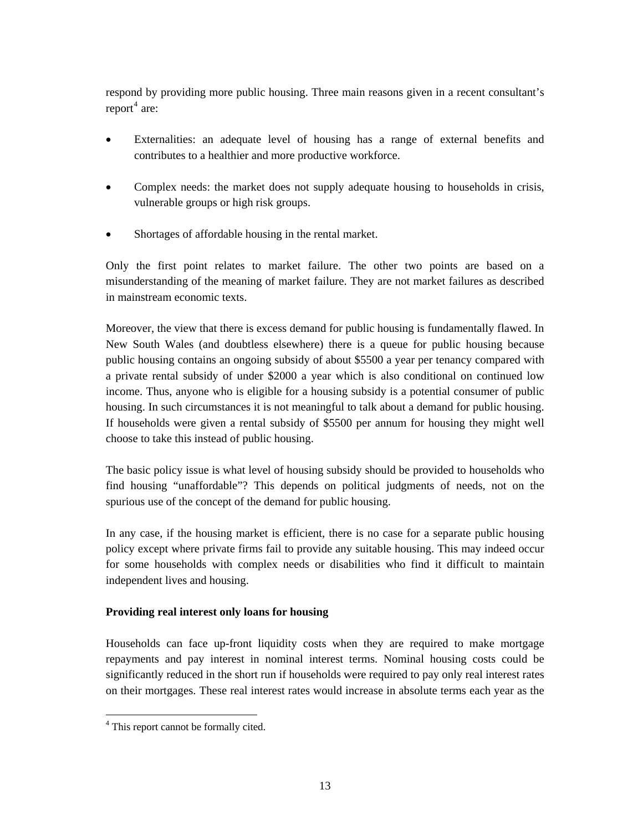respond by providing more public housing. Three main reasons given in a recent consultant's  $report<sup>4</sup>$  $report<sup>4</sup>$  $report<sup>4</sup>$  are:

- Externalities: an adequate level of housing has a range of external benefits and contributes to a healthier and more productive workforce.
- Complex needs: the market does not supply adequate housing to households in crisis, vulnerable groups or high risk groups.
- Shortages of affordable housing in the rental market.

Only the first point relates to market failure. The other two points are based on a misunderstanding of the meaning of market failure. They are not market failures as described in mainstream economic texts.

Moreover, the view that there is excess demand for public housing is fundamentally flawed. In New South Wales (and doubtless elsewhere) there is a queue for public housing because public housing contains an ongoing subsidy of about \$5500 a year per tenancy compared with a private rental subsidy of under \$2000 a year which is also conditional on continued low income. Thus, anyone who is eligible for a housing subsidy is a potential consumer of public housing. In such circumstances it is not meaningful to talk about a demand for public housing. If households were given a rental subsidy of \$5500 per annum for housing they might well choose to take this instead of public housing.

The basic policy issue is what level of housing subsidy should be provided to households who find housing "unaffordable"? This depends on political judgments of needs, not on the spurious use of the concept of the demand for public housing.

In any case, if the housing market is efficient, there is no case for a separate public housing policy except where private firms fail to provide any suitable housing. This may indeed occur for some households with complex needs or disabilities who find it difficult to maintain independent lives and housing.

#### **Providing real interest only loans for housing**

Households can face up-front liquidity costs when they are required to make mortgage repayments and pay interest in nominal interest terms. Nominal housing costs could be significantly reduced in the short run if households were required to pay only real interest rates on their mortgages. These real interest rates would increase in absolute terms each year as the

<span id="page-12-0"></span> $\overline{a}$ <sup>4</sup> This report cannot be formally cited.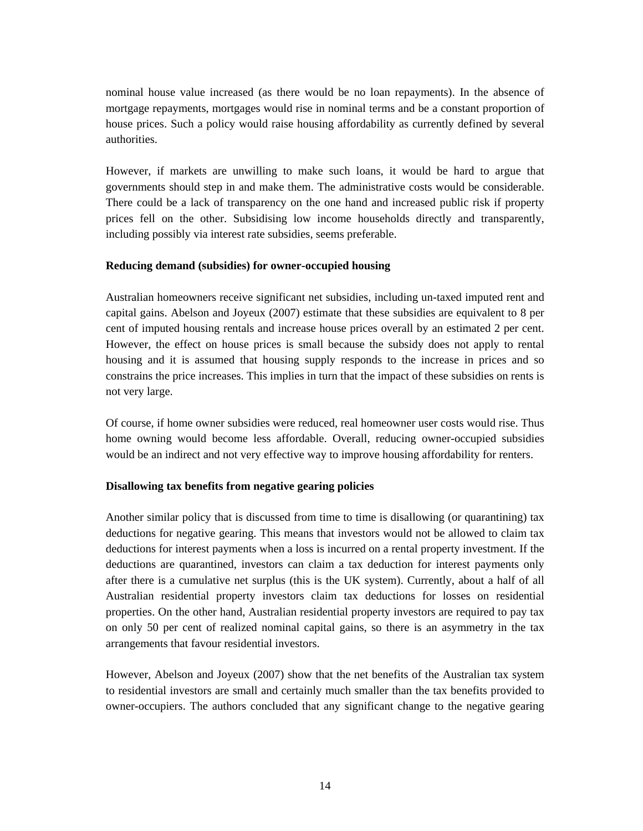nominal house value increased (as there would be no loan repayments). In the absence of mortgage repayments, mortgages would rise in nominal terms and be a constant proportion of house prices. Such a policy would raise housing affordability as currently defined by several authorities.

However, if markets are unwilling to make such loans, it would be hard to argue that governments should step in and make them. The administrative costs would be considerable. There could be a lack of transparency on the one hand and increased public risk if property prices fell on the other. Subsidising low income households directly and transparently, including possibly via interest rate subsidies, seems preferable.

#### **Reducing demand (subsidies) for owner-occupied housing**

Australian homeowners receive significant net subsidies, including un-taxed imputed rent and capital gains. Abelson and Joyeux (2007) estimate that these subsidies are equivalent to 8 per cent of imputed housing rentals and increase house prices overall by an estimated 2 per cent. However, the effect on house prices is small because the subsidy does not apply to rental housing and it is assumed that housing supply responds to the increase in prices and so constrains the price increases. This implies in turn that the impact of these subsidies on rents is not very large.

Of course, if home owner subsidies were reduced, real homeowner user costs would rise. Thus home owning would become less affordable. Overall, reducing owner-occupied subsidies would be an indirect and not very effective way to improve housing affordability for renters.

#### **Disallowing tax benefits from negative gearing policies**

Another similar policy that is discussed from time to time is disallowing (or quarantining) tax deductions for negative gearing. This means that investors would not be allowed to claim tax deductions for interest payments when a loss is incurred on a rental property investment. If the deductions are quarantined, investors can claim a tax deduction for interest payments only after there is a cumulative net surplus (this is the UK system). Currently, about a half of all Australian residential property investors claim tax deductions for losses on residential properties. On the other hand, Australian residential property investors are required to pay tax on only 50 per cent of realized nominal capital gains, so there is an asymmetry in the tax arrangements that favour residential investors.

However, Abelson and Joyeux (2007) show that the net benefits of the Australian tax system to residential investors are small and certainly much smaller than the tax benefits provided to owner-occupiers. The authors concluded that any significant change to the negative gearing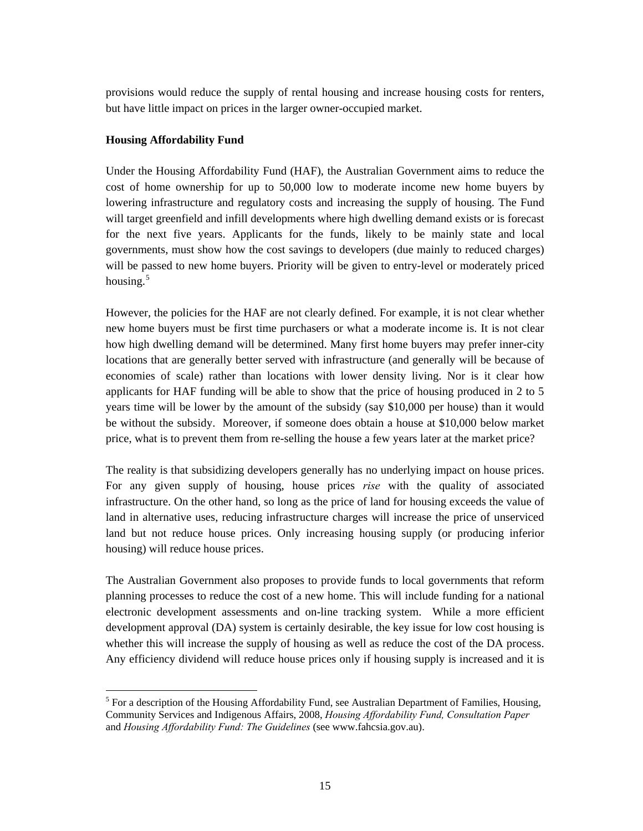provisions would reduce the supply of rental housing and increase housing costs for renters, but have little impact on prices in the larger owner-occupied market.

#### **Housing Affordability Fund**

 $\overline{a}$ 

Under the Housing Affordability Fund (HAF), the Australian Government aims to reduce the cost of home ownership for up to 50,000 low to moderate income new home buyers by lowering infrastructure and regulatory costs and increasing the supply of housing. The Fund will target greenfield and infill developments where high dwelling demand exists or is forecast for the next five years. Applicants for the funds, likely to be mainly state and local governments, must show how the cost savings to developers (due mainly to reduced charges) will be passed to new home buyers. Priority will be given to entry-level or moderately priced housing. $5$ 

However, the policies for the HAF are not clearly defined. For example, it is not clear whether new home buyers must be first time purchasers or what a moderate income is. It is not clear how high dwelling demand will be determined. Many first home buyers may prefer inner-city locations that are generally better served with infrastructure (and generally will be because of economies of scale) rather than locations with lower density living. Nor is it clear how applicants for HAF funding will be able to show that the price of housing produced in 2 to 5 years time will be lower by the amount of the subsidy (say \$10,000 per house) than it would be without the subsidy. Moreover, if someone does obtain a house at \$10,000 below market price, what is to prevent them from re-selling the house a few years later at the market price?

The reality is that subsidizing developers generally has no underlying impact on house prices. For any given supply of housing, house prices *rise* with the quality of associated infrastructure. On the other hand, so long as the price of land for housing exceeds the value of land in alternative uses, reducing infrastructure charges will increase the price of unserviced land but not reduce house prices. Only increasing housing supply (or producing inferior housing) will reduce house prices.

The Australian Government also proposes to provide funds to local governments that reform planning processes to reduce the cost of a new home. This will include funding for a national electronic development assessments and on-line tracking system. While a more efficient development approval (DA) system is certainly desirable, the key issue for low cost housing is whether this will increase the supply of housing as well as reduce the cost of the DA process. Any efficiency dividend will reduce house prices only if housing supply is increased and it is

<span id="page-14-0"></span><sup>&</sup>lt;sup>5</sup> For a description of the Housing Affordability Fund, see Australian Department of Families, Housing, Community Services and Indigenous Affairs, 2008, *Housing Affordability Fund, Consultation Paper* and *Housing Affordability Fund: The Guidelines* (see www.fahcsia.gov.au).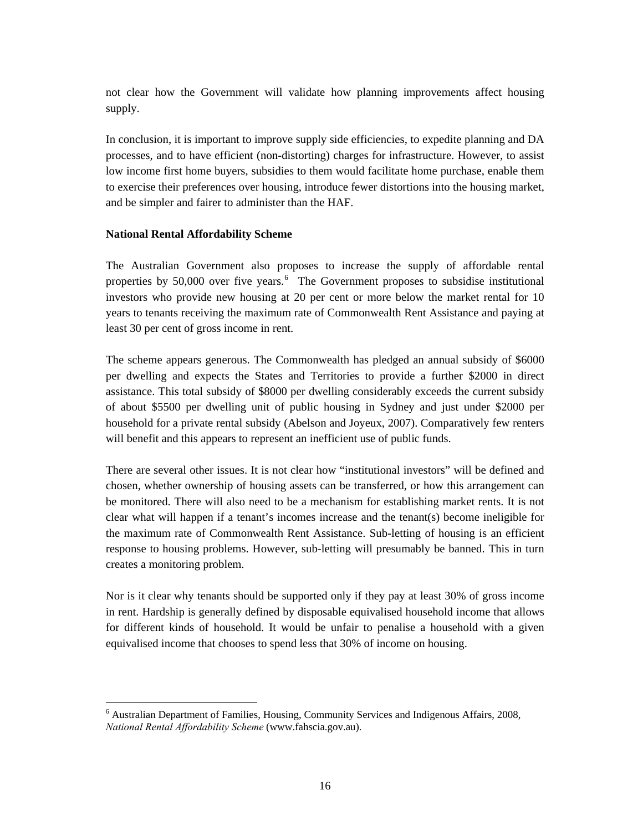not clear how the Government will validate how planning improvements affect housing supply.

In conclusion, it is important to improve supply side efficiencies, to expedite planning and DA processes, and to have efficient (non-distorting) charges for infrastructure. However, to assist low income first home buyers, subsidies to them would facilitate home purchase, enable them to exercise their preferences over housing, introduce fewer distortions into the housing market, and be simpler and fairer to administer than the HAF.

#### **National Rental Affordability Scheme**

 $\overline{a}$ 

The Australian Government also proposes to increase the supply of affordable rental properties by  $50,000$  over five years. <sup>[6](#page-15-0)</sup> The Government proposes to subsidise institutional investors who provide new housing at 20 per cent or more below the market rental for 10 years to tenants receiving the maximum rate of Commonwealth Rent Assistance and paying at least 30 per cent of gross income in rent.

The scheme appears generous. The Commonwealth has pledged an annual subsidy of \$6000 per dwelling and expects the States and Territories to provide a further \$2000 in direct assistance. This total subsidy of \$8000 per dwelling considerably exceeds the current subsidy of about \$5500 per dwelling unit of public housing in Sydney and just under \$2000 per household for a private rental subsidy (Abelson and Joyeux, 2007). Comparatively few renters will benefit and this appears to represent an inefficient use of public funds.

There are several other issues. It is not clear how "institutional investors" will be defined and chosen, whether ownership of housing assets can be transferred, or how this arrangement can be monitored. There will also need to be a mechanism for establishing market rents. It is not clear what will happen if a tenant's incomes increase and the tenant(s) become ineligible for the maximum rate of Commonwealth Rent Assistance. Sub-letting of housing is an efficient response to housing problems. However, sub-letting will presumably be banned. This in turn creates a monitoring problem.

Nor is it clear why tenants should be supported only if they pay at least 30% of gross income in rent. Hardship is generally defined by disposable equivalised household income that allows for different kinds of household. It would be unfair to penalise a household with a given equivalised income that chooses to spend less that 30% of income on housing.

<span id="page-15-0"></span><sup>&</sup>lt;sup>6</sup> Australian Department of Families, Housing, Community Services and Indigenous Affairs, 2008, *National Rental Affordability Scheme* (www.fahscia.gov.au).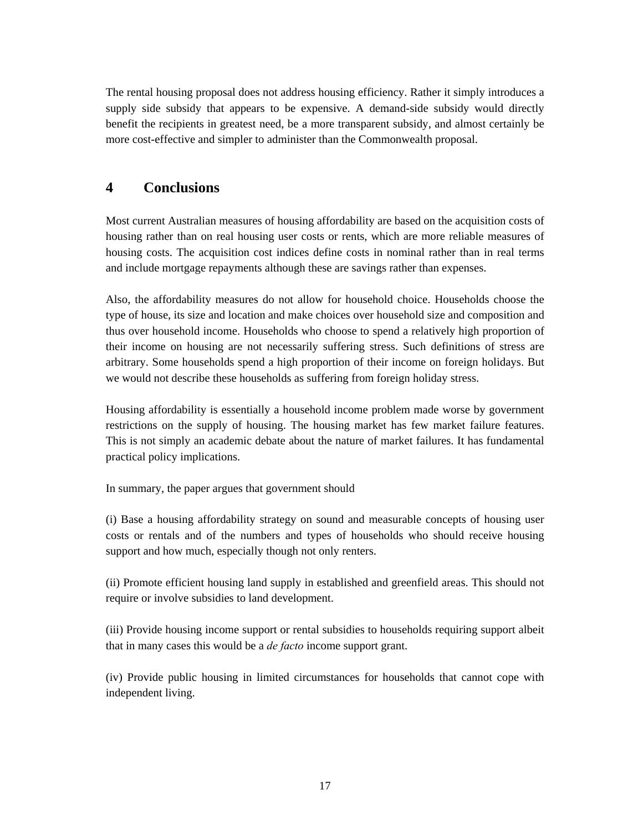The rental housing proposal does not address housing efficiency. Rather it simply introduces a supply side subsidy that appears to be expensive. A demand-side subsidy would directly benefit the recipients in greatest need, be a more transparent subsidy, and almost certainly be more cost-effective and simpler to administer than the Commonwealth proposal.

## **4 Conclusions**

Most current Australian measures of housing affordability are based on the acquisition costs of housing rather than on real housing user costs or rents, which are more reliable measures of housing costs. The acquisition cost indices define costs in nominal rather than in real terms and include mortgage repayments although these are savings rather than expenses.

Also, the affordability measures do not allow for household choice. Households choose the type of house, its size and location and make choices over household size and composition and thus over household income. Households who choose to spend a relatively high proportion of their income on housing are not necessarily suffering stress. Such definitions of stress are arbitrary. Some households spend a high proportion of their income on foreign holidays. But we would not describe these households as suffering from foreign holiday stress.

Housing affordability is essentially a household income problem made worse by government restrictions on the supply of housing. The housing market has few market failure features. This is not simply an academic debate about the nature of market failures. It has fundamental practical policy implications.

In summary, the paper argues that government should

(i) Base a housing affordability strategy on sound and measurable concepts of housing user costs or rentals and of the numbers and types of households who should receive housing support and how much, especially though not only renters.

(ii) Promote efficient housing land supply in established and greenfield areas. This should not require or involve subsidies to land development.

(iii) Provide housing income support or rental subsidies to households requiring support albeit that in many cases this would be a *de facto* income support grant.

(iv) Provide public housing in limited circumstances for households that cannot cope with independent living.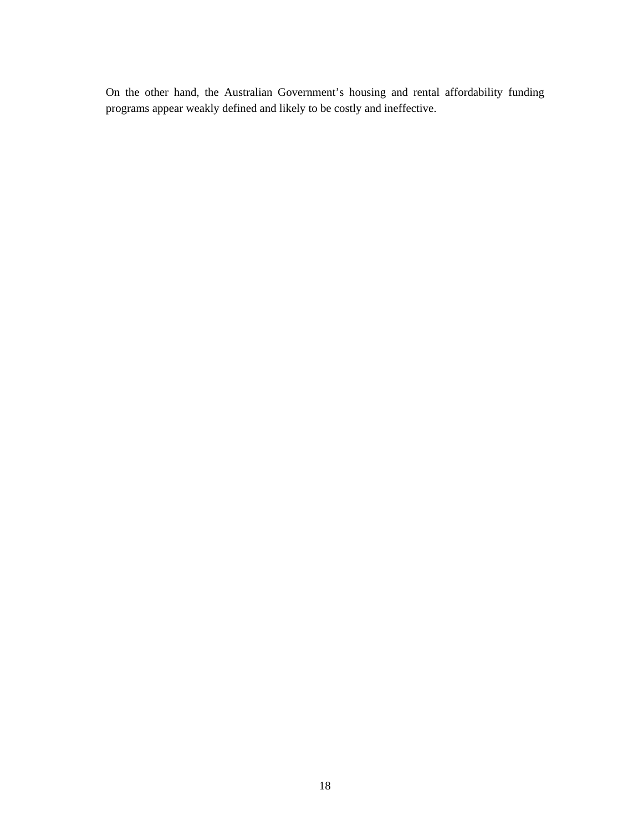On the other hand, the Australian Government's housing and rental affordability funding programs appear weakly defined and likely to be costly and ineffective.